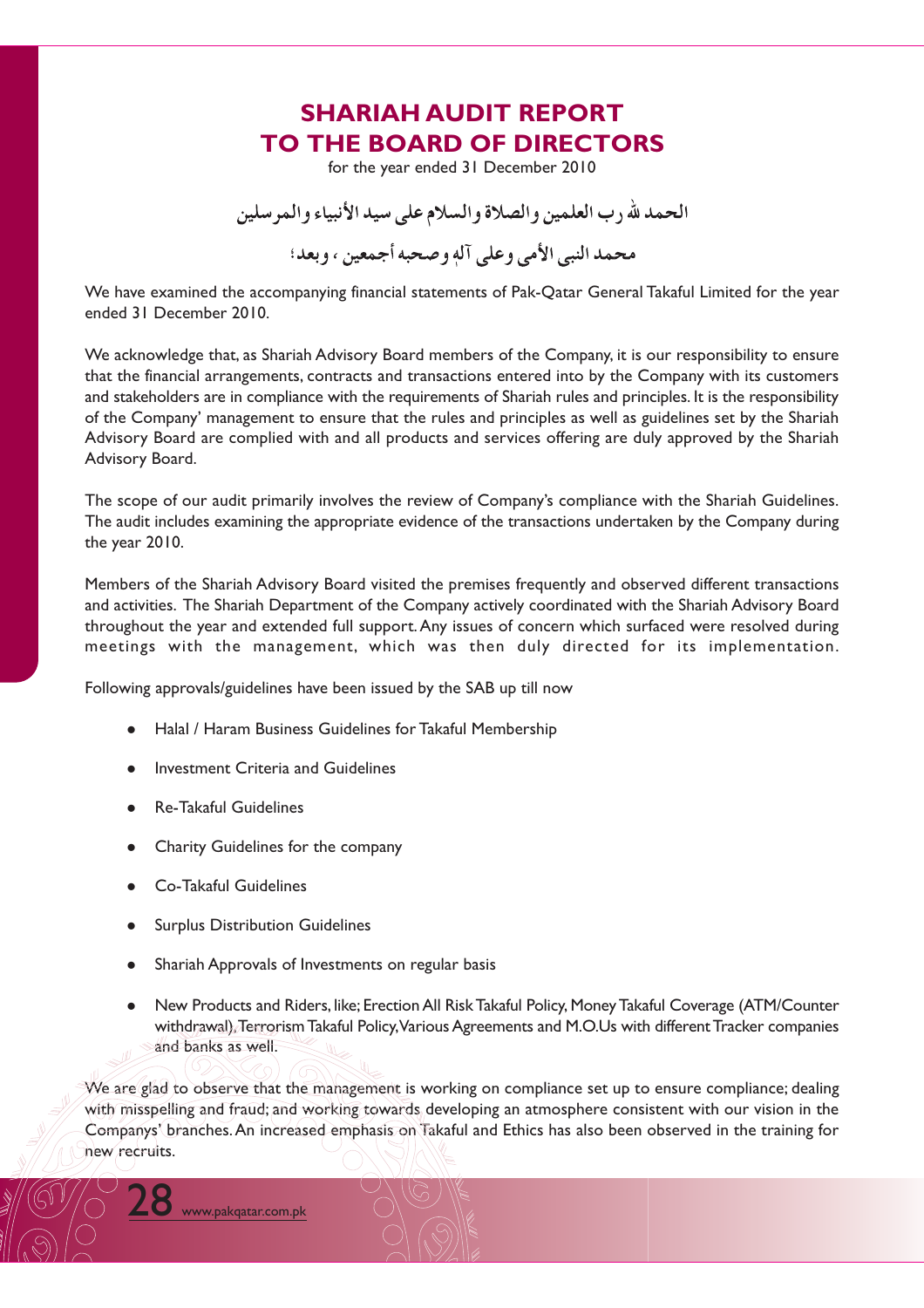## **SHARIAH AUDIT REPORT TO THE BOARD OF DIRECTORS**

for the year ended 31 December 2010

الحمد لله د ب العلمين و الصلاة و السلام على سيد الأنبياء و المر سلين محمد النبي الأمي وعلى آله وصحبه أجمعين ، وبعد؛

We have examined the accompanying financial statements of Pak-Qatar General Takaful Limited for the year ended 31 December 2010.

We acknowledge that, as Shariah Advisory Board members of the Company, it is our responsibility to ensure that the financial arrangements, contracts and transactions entered into by the Company with its customers and stakeholders are in compliance with the requirements of Shariah rules and principles. It is the responsibility of the Company' management to ensure that the rules and principles as well as guidelines set by the Shariah Advisory Board are complied with and all products and services offering are duly approved by the Shariah Advisory Board.

The scope of our audit primarily involves the review of Company's compliance with the Shariah Guidelines. The audit includes examining the appropriate evidence of the transactions undertaken by the Company during the year 2010.

Members of the Shariah Advisory Board visited the premises frequently and observed different transactions and activities. The Shariah Department of the Company actively coordinated with the Shariah Advisory Board throughout the year and extended full support. Any issues of concern which surfaced were resolved during meetings with the management, which was then duly directed for its implementation.

Following approvals/guidelines have been issued by the SAB up till now

- Halal / Haram Business Guidelines for Takaful Membership
- Investment Criteria and Guidelines
- **Re-Takaful Guidelines**
- Charity Guidelines for the company
- Co-Takaful Guidelines
- **Surplus Distribution Guidelines**
- Shariah Approvals of Investments on regular basis
- New Products and Riders, like; Erection All Risk Takaful Policy, Money Takaful Coverage (ATM/Counter withdrawal), Terrorism Takaful Policy, Various Agreements and M.O.Us with different Tracker companies and banks as well.

We are glad to observe that the management is working on compliance set up to ensure compliance; dealing with misspelling and fraud; and working towards developing an atmosphere consistent with our vision in the Companys' branches. An increased emphasis on Takaful and Ethics has also been observed in the training for new recruits.